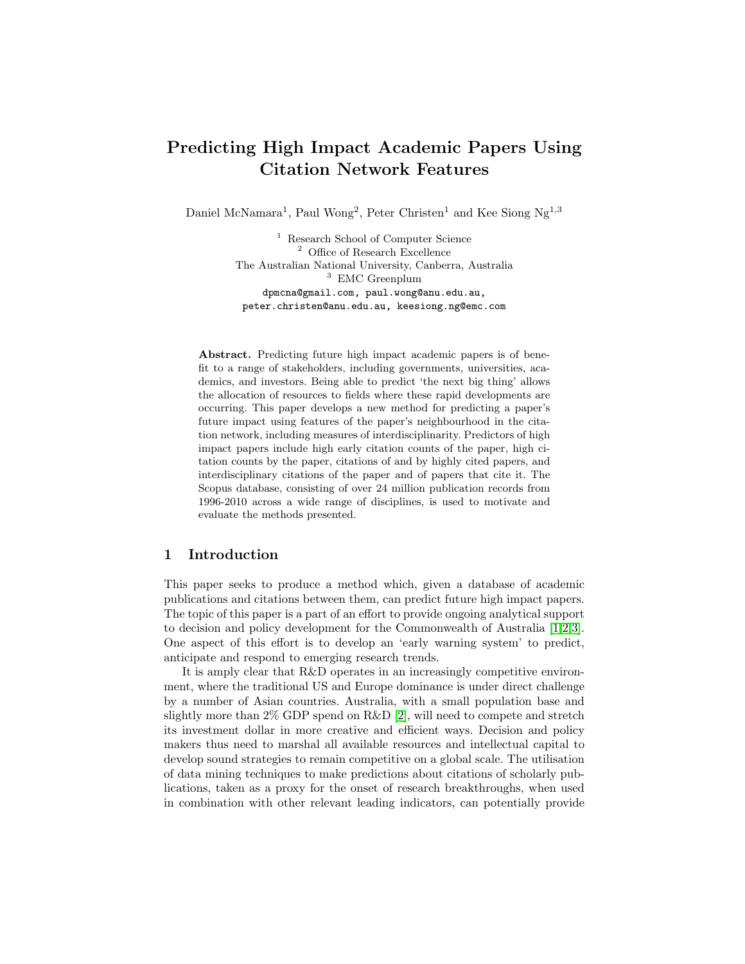# Predicting High Impact Academic Papers Using Citation Network Features

Daniel McNamara<sup>1</sup>, Paul Wong<sup>2</sup>, Peter Christen<sup>1</sup> and Kee Siong Ng<sup>1,3</sup>

<sup>1</sup> Research School of Computer Science <sup>2</sup> Office of Research Excellence The Australian National University, Canberra, Australia <sup>3</sup> EMC Greenplum dpmcna@gmail.com, paul.wong@anu.edu.au, peter.christen@anu.edu.au, keesiong.ng@emc.com

Abstract. Predicting future high impact academic papers is of benefit to a range of stakeholders, including governments, universities, academics, and investors. Being able to predict 'the next big thing' allows the allocation of resources to fields where these rapid developments are occurring. This paper develops a new method for predicting a paper's future impact using features of the paper's neighbourhood in the citation network, including measures of interdisciplinarity. Predictors of high impact papers include high early citation counts of the paper, high citation counts by the paper, citations of and by highly cited papers, and interdisciplinary citations of the paper and of papers that cite it. The Scopus database, consisting of over 24 million publication records from 1996-2010 across a wide range of disciplines, is used to motivate and evaluate the methods presented.

# 1 Introduction

This paper seeks to produce a method which, given a database of academic publications and citations between them, can predict future high impact papers. The topic of this paper is a part of an effort to provide ongoing analytical support to decision and policy development for the Commonwealth of Australia [\[1,](#page-10-0)[2](#page-10-1)[,3\]](#page-10-2). One aspect of this effort is to develop an 'early warning system' to predict, anticipate and respond to emerging research trends.

It is amply clear that R&D operates in an increasingly competitive environment, where the traditional US and Europe dominance is under direct challenge by a number of Asian countries. Australia, with a small population base and slightly more than 2% GDP spend on R&D [\[2\]](#page-10-1), will need to compete and stretch its investment dollar in more creative and efficient ways. Decision and policy makers thus need to marshal all available resources and intellectual capital to develop sound strategies to remain competitive on a global scale. The utilisation of data mining techniques to make predictions about citations of scholarly publications, taken as a proxy for the onset of research breakthroughs, when used in combination with other relevant leading indicators, can potentially provide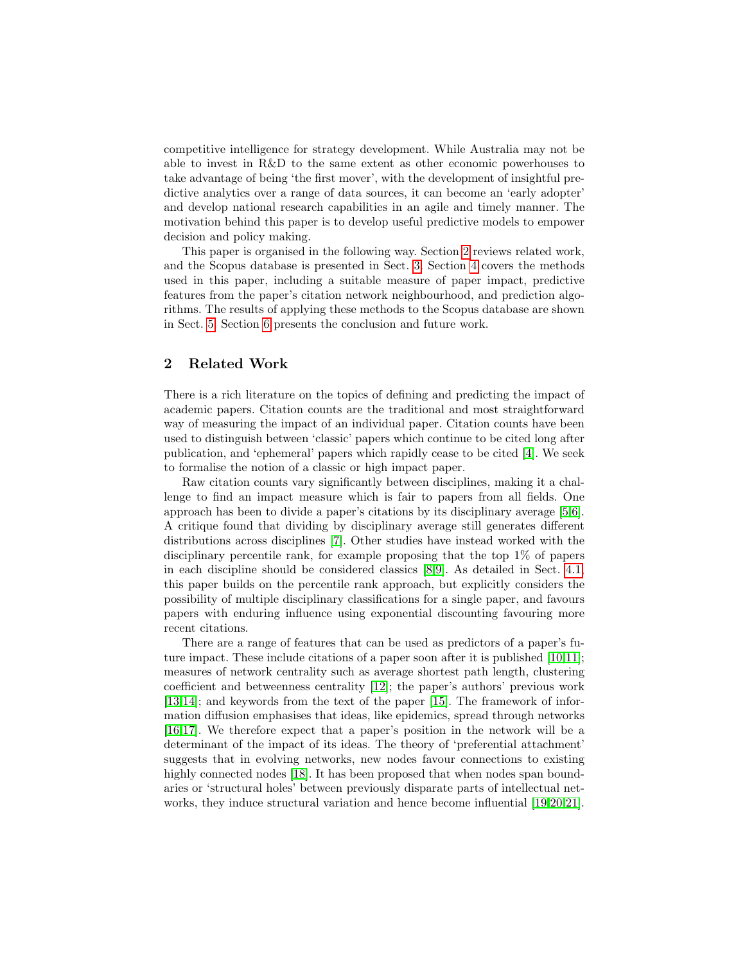competitive intelligence for strategy development. While Australia may not be able to invest in R&D to the same extent as other economic powerhouses to take advantage of being 'the first mover', with the development of insightful predictive analytics over a range of data sources, it can become an 'early adopter' and develop national research capabilities in an agile and timely manner. The motivation behind this paper is to develop useful predictive models to empower decision and policy making.

This paper is organised in the following way. Section [2](#page-1-0) reviews related work, and the Scopus database is presented in Sect. [3.](#page-2-0) Section [4](#page-2-1) covers the methods used in this paper, including a suitable measure of paper impact, predictive features from the paper's citation network neighbourhood, and prediction algorithms. The results of applying these methods to the Scopus database are shown in Sect. [5.](#page-5-0) Section [6](#page-9-0) presents the conclusion and future work.

## <span id="page-1-0"></span>2 Related Work

There is a rich literature on the topics of defining and predicting the impact of academic papers. Citation counts are the traditional and most straightforward way of measuring the impact of an individual paper. Citation counts have been used to distinguish between 'classic' papers which continue to be cited long after publication, and 'ephemeral' papers which rapidly cease to be cited [\[4\]](#page-10-3). We seek to formalise the notion of a classic or high impact paper.

Raw citation counts vary significantly between disciplines, making it a challenge to find an impact measure which is fair to papers from all fields. One approach has been to divide a paper's citations by its disciplinary average [\[5](#page-10-4)[,6\]](#page-10-5). A critique found that dividing by disciplinary average still generates different distributions across disciplines [\[7\]](#page-10-6). Other studies have instead worked with the disciplinary percentile rank, for example proposing that the top 1% of papers in each discipline should be considered classics [\[8](#page-10-7)[,9\]](#page-10-8). As detailed in Sect. [4.1,](#page-3-0) this paper builds on the percentile rank approach, but explicitly considers the possibility of multiple disciplinary classifications for a single paper, and favours papers with enduring influence using exponential discounting favouring more recent citations.

There are a range of features that can be used as predictors of a paper's future impact. These include citations of a paper soon after it is published [\[10](#page-10-9)[,11\]](#page-10-10); measures of network centrality such as average shortest path length, clustering coefficient and betweenness centrality [\[12\]](#page-11-0); the paper's authors' previous work [\[13](#page-11-1)[,14\]](#page-11-2); and keywords from the text of the paper [\[15\]](#page-11-3). The framework of information diffusion emphasises that ideas, like epidemics, spread through networks [\[16](#page-11-4)[,17\]](#page-11-5). We therefore expect that a paper's position in the network will be a determinant of the impact of its ideas. The theory of 'preferential attachment' suggests that in evolving networks, new nodes favour connections to existing highly connected nodes [\[18\]](#page-11-6). It has been proposed that when nodes span boundaries or 'structural holes' between previously disparate parts of intellectual networks, they induce structural variation and hence become influential [\[19,](#page-11-7)[20](#page-11-8)[,21\]](#page-11-9).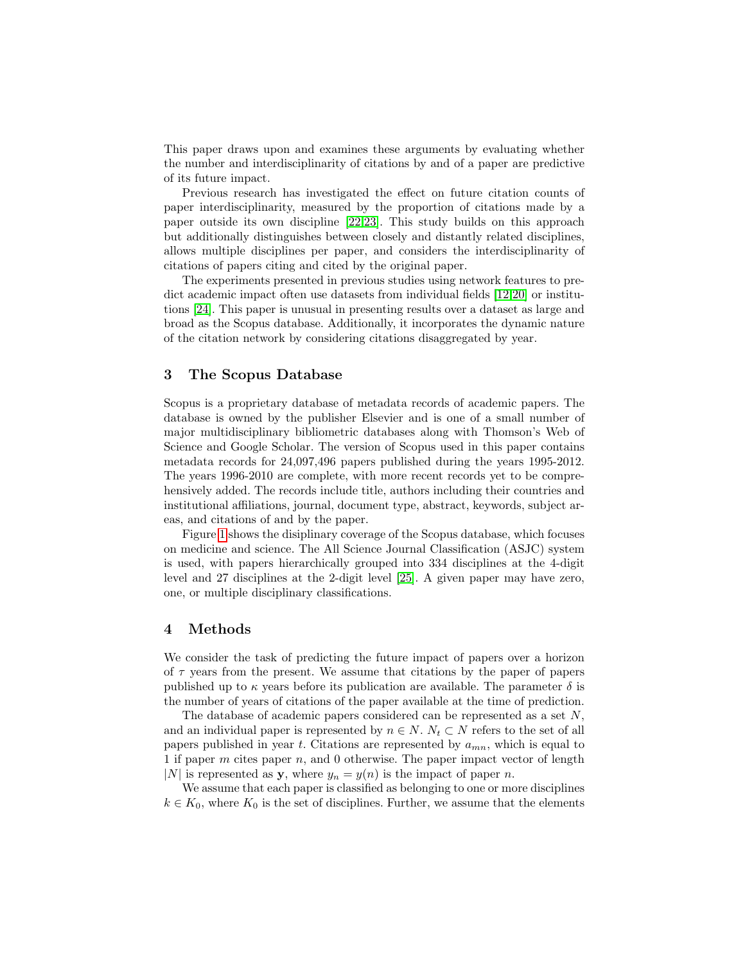This paper draws upon and examines these arguments by evaluating whether the number and interdisciplinarity of citations by and of a paper are predictive of its future impact.

Previous research has investigated the effect on future citation counts of paper interdisciplinarity, measured by the proportion of citations made by a paper outside its own discipline [\[22,](#page-11-10)[23\]](#page-11-11). This study builds on this approach but additionally distinguishes between closely and distantly related disciplines, allows multiple disciplines per paper, and considers the interdisciplinarity of citations of papers citing and cited by the original paper.

The experiments presented in previous studies using network features to predict academic impact often use datasets from individual fields [\[12](#page-11-0)[,20\]](#page-11-8) or institutions [\[24\]](#page-11-12). This paper is unusual in presenting results over a dataset as large and broad as the Scopus database. Additionally, it incorporates the dynamic nature of the citation network by considering citations disaggregated by year.

## <span id="page-2-0"></span>3 The Scopus Database

Scopus is a proprietary database of metadata records of academic papers. The database is owned by the publisher Elsevier and is one of a small number of major multidisciplinary bibliometric databases along with Thomson's Web of Science and Google Scholar. The version of Scopus used in this paper contains metadata records for 24,097,496 papers published during the years 1995-2012. The years 1996-2010 are complete, with more recent records yet to be comprehensively added. The records include title, authors including their countries and institutional affiliations, journal, document type, abstract, keywords, subject areas, and citations of and by the paper.

Figure [1](#page-3-1) shows the disiplinary coverage of the Scopus database, which focuses on medicine and science. The All Science Journal Classification (ASJC) system is used, with papers hierarchically grouped into 334 disciplines at the 4-digit level and 27 disciplines at the 2-digit level [\[25\]](#page-11-13). A given paper may have zero, one, or multiple disciplinary classifications.

### <span id="page-2-1"></span>4 Methods

We consider the task of predicting the future impact of papers over a horizon of  $\tau$  years from the present. We assume that citations by the paper of papers published up to  $\kappa$  years before its publication are available. The parameter  $\delta$  is the number of years of citations of the paper available at the time of prediction.

The database of academic papers considered can be represented as a set N, and an individual paper is represented by  $n \in N$ .  $N_t \subset N$  refers to the set of all papers published in year t. Citations are represented by  $a_{mn}$ , which is equal to 1 if paper m cites paper n, and 0 otherwise. The paper impact vector of length |N| is represented as y, where  $y_n = y(n)$  is the impact of paper n.

We assume that each paper is classified as belonging to one or more disciplines  $k \in K_0$ , where  $K_0$  is the set of disciplines. Further, we assume that the elements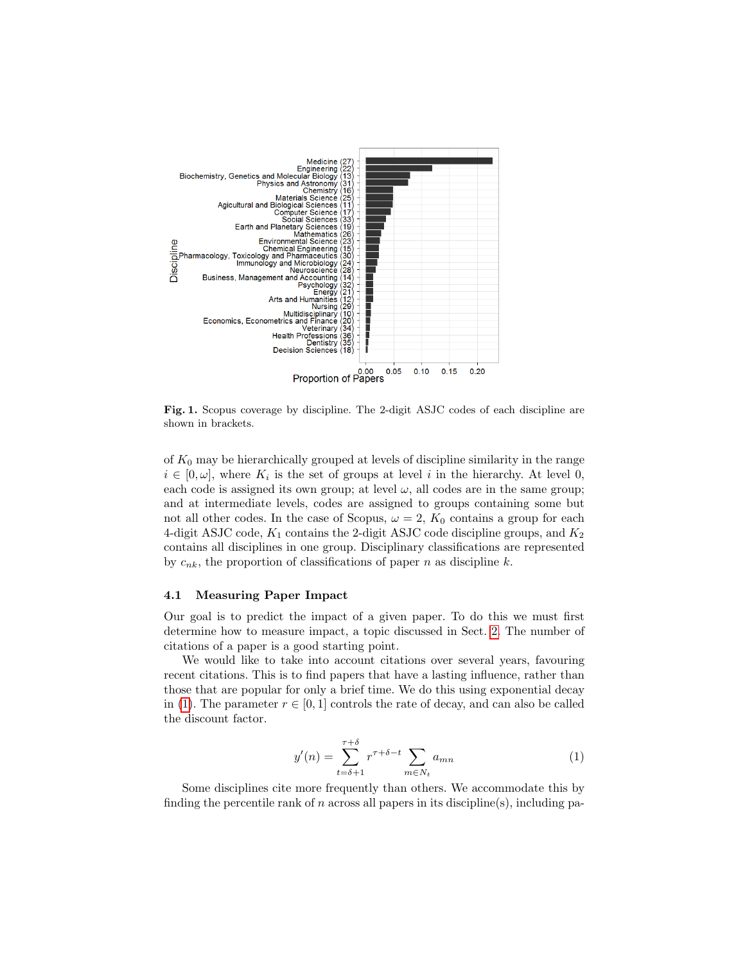

<span id="page-3-1"></span>Fig. 1. Scopus coverage by discipline. The 2-digit ASJC codes of each discipline are shown in brackets.

of  $K_0$  may be hierarchically grouped at levels of discipline similarity in the range  $i \in [0, \omega]$ , where  $K_i$  is the set of groups at level i in the hierarchy. At level 0, each code is assigned its own group; at level  $\omega$ , all codes are in the same group; and at intermediate levels, codes are assigned to groups containing some but not all other codes. In the case of Scopus,  $\omega = 2$ ,  $K_0$  contains a group for each 4-digit ASJC code,  $K_1$  contains the 2-digit ASJC code discipline groups, and  $K_2$ contains all disciplines in one group. Disciplinary classifications are represented by  $c_{nk}$ , the proportion of classifications of paper n as discipline k.

#### <span id="page-3-0"></span>4.1 Measuring Paper Impact

Our goal is to predict the impact of a given paper. To do this we must first determine how to measure impact, a topic discussed in Sect. [2.](#page-1-0) The number of citations of a paper is a good starting point.

We would like to take into account citations over several years, favouring recent citations. This is to find papers that have a lasting influence, rather than those that are popular for only a brief time. We do this using exponential decay in [\(1\)](#page-3-2). The parameter  $r \in [0, 1]$  controls the rate of decay, and can also be called the discount factor.

<span id="page-3-2"></span>
$$
y'(n) = \sum_{t=\delta+1}^{\tau+\delta} r^{\tau+\delta-t} \sum_{m \in N_t} a_{mn} \tag{1}
$$

Some disciplines cite more frequently than others. We accommodate this by finding the percentile rank of n across all papers in its discipline(s), including pa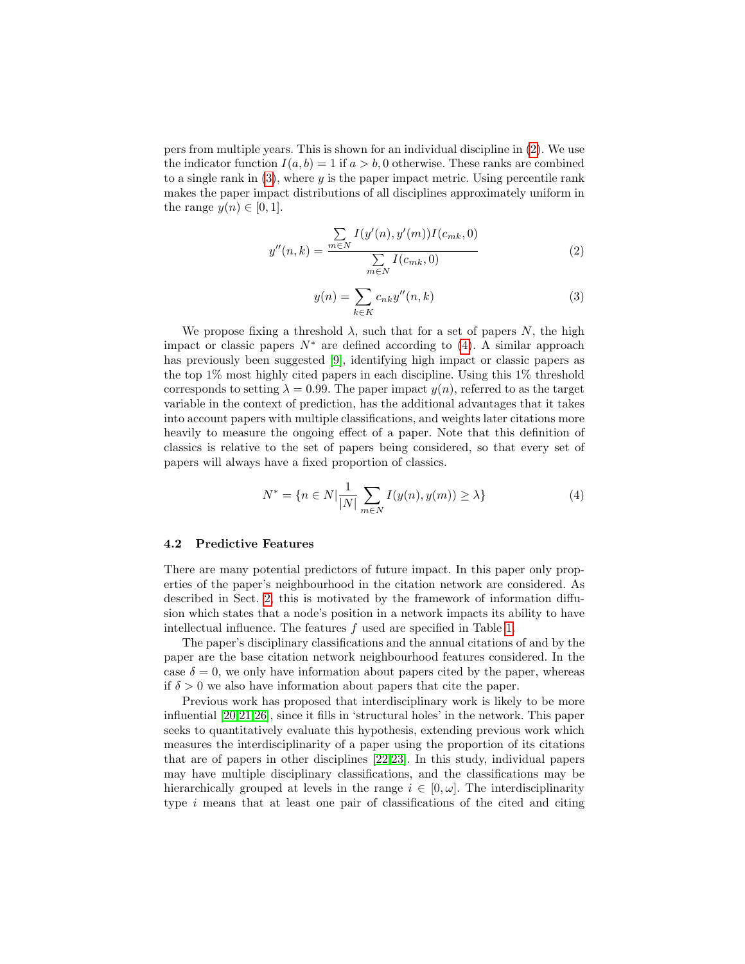pers from multiple years. This is shown for an individual discipline in [\(2\)](#page-4-0). We use the indicator function  $I(a, b) = 1$  if  $a > b$ , 0 otherwise. These ranks are combined to a single rank in  $(3)$ , where y is the paper impact metric. Using percentile rank makes the paper impact distributions of all disciplines approximately uniform in the range  $y(n) \in [0, 1]$ .

<span id="page-4-0"></span>
$$
y''(n,k) = \frac{\sum_{m \in N} I(y'(n), y'(m)) I(c_{mk}, 0)}{\sum_{m \in N} I(c_{mk}, 0)}
$$
(2)

<span id="page-4-1"></span>
$$
y(n) = \sum_{k \in K} c_{nk} y''(n, k) \tag{3}
$$

We propose fixing a threshold  $\lambda$ , such that for a set of papers N, the high impact or classic papers  $N^*$  are defined according to [\(4\)](#page-4-2). A similar approach has previously been suggested [\[9\]](#page-10-8), identifying high impact or classic papers as the top 1% most highly cited papers in each discipline. Using this 1% threshold corresponds to setting  $\lambda = 0.99$ . The paper impact  $y(n)$ , referred to as the target variable in the context of prediction, has the additional advantages that it takes into account papers with multiple classifications, and weights later citations more heavily to measure the ongoing effect of a paper. Note that this definition of classics is relative to the set of papers being considered, so that every set of papers will always have a fixed proportion of classics.

<span id="page-4-2"></span>
$$
N^* = \{ n \in N \mid \frac{1}{|N|} \sum_{m \in N} I(y(n), y(m)) \ge \lambda \}
$$
 (4)

#### <span id="page-4-3"></span>4.2 Predictive Features

There are many potential predictors of future impact. In this paper only properties of the paper's neighbourhood in the citation network are considered. As described in Sect. [2,](#page-1-0) this is motivated by the framework of information diffusion which states that a node's position in a network impacts its ability to have intellectual influence. The features  $f$  used are specified in Table [1.](#page-5-1)

The paper's disciplinary classifications and the annual citations of and by the paper are the base citation network neighbourhood features considered. In the case  $\delta = 0$ , we only have information about papers cited by the paper, whereas if  $\delta > 0$  we also have information about papers that cite the paper.

Previous work has proposed that interdisciplinary work is likely to be more influential [\[20,](#page-11-8)[21,](#page-11-9)[26\]](#page-11-14), since it fills in 'structural holes' in the network. This paper seeks to quantitatively evaluate this hypothesis, extending previous work which measures the interdisciplinarity of a paper using the proportion of its citations that are of papers in other disciplines [\[22,](#page-11-10)[23\]](#page-11-11). In this study, individual papers may have multiple disciplinary classifications, and the classifications may be hierarchically grouped at levels in the range  $i \in [0, \omega]$ . The interdisciplinarity type i means that at least one pair of classifications of the cited and citing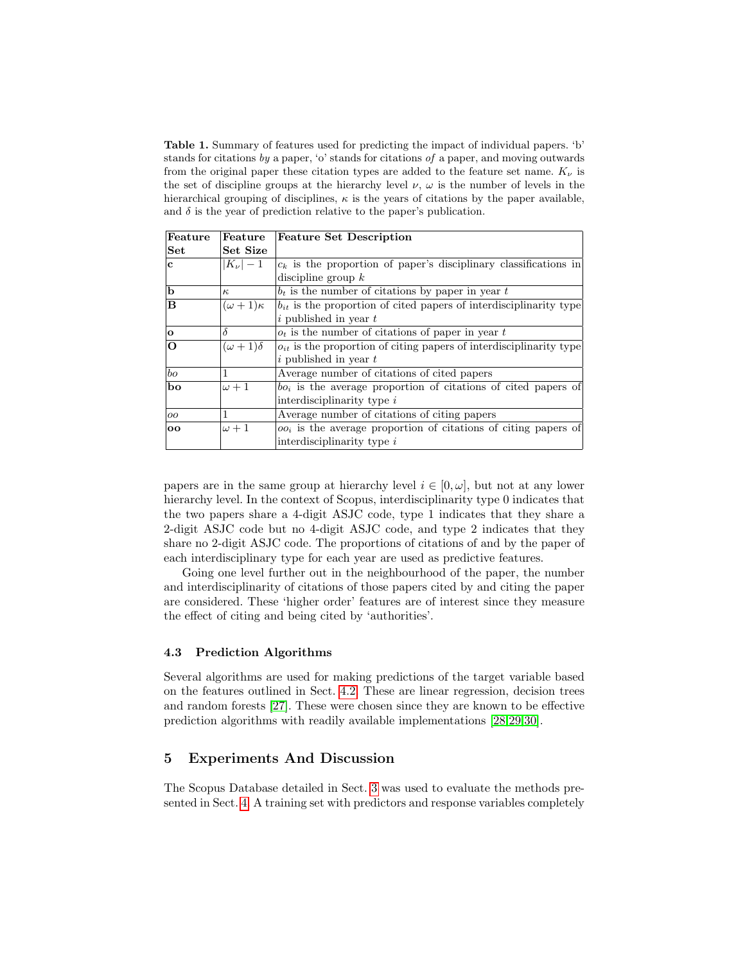<span id="page-5-1"></span>Table 1. Summary of features used for predicting the impact of individual papers. 'b' stands for citations *by* a paper, 'o' stands for citations *of* a paper, and moving outwards from the original paper these citation types are added to the feature set name.  $K_{\nu}$  is the set of discipline groups at the hierarchy level  $\nu$ ,  $\omega$  is the number of levels in the hierarchical grouping of disciplines,  $\kappa$  is the years of citations by the paper available, and  $\delta$  is the year of prediction relative to the paper's publication.

| Feature         | Feature            | <b>Feature Set Description</b>                                          |  |  |
|-----------------|--------------------|-------------------------------------------------------------------------|--|--|
| Set             | <b>Set Size</b>    |                                                                         |  |  |
| $\mathbf c$     | $ K_{\nu} -1$      | $c_k$ is the proportion of paper's disciplinary classifications in      |  |  |
|                 |                    | discipline group $k$                                                    |  |  |
| b               | $\kappa$           | $b_t$ is the number of citations by paper in year t                     |  |  |
| B               | $(\omega+1)\kappa$ | $b_{it}$ is the proportion of cited papers of interdisciplinarity type  |  |  |
|                 |                    | i published in year $t$                                                 |  |  |
| $\Omega$        | $\delta$           | $o_t$ is the number of citations of paper in year t                     |  |  |
| Ω               | $(\omega+1)\delta$ | $o_{it}$ is the proportion of citing papers of interdisciplinarity type |  |  |
|                 |                    | $i$ published in year $t$                                               |  |  |
| $b\overline{o}$ |                    | Average number of citations of cited papers                             |  |  |
| bo              | $\omega+1$         | $boi$ is the average proportion of citations of cited papers of         |  |  |
|                 |                    | interdisciplinarity type $i$                                            |  |  |
| OQ              | 1                  | Average number of citations of citing papers                            |  |  |
| $\overline{O}$  | $\omega+1$         | $ooi$ is the average proportion of citations of citing papers of        |  |  |
|                 |                    | interdisciplinarity type $i$                                            |  |  |

papers are in the same group at hierarchy level  $i \in [0, \omega]$ , but not at any lower hierarchy level. In the context of Scopus, interdisciplinarity type 0 indicates that the two papers share a 4-digit ASJC code, type 1 indicates that they share a 2-digit ASJC code but no 4-digit ASJC code, and type 2 indicates that they share no 2-digit ASJC code. The proportions of citations of and by the paper of each interdisciplinary type for each year are used as predictive features.

Going one level further out in the neighbourhood of the paper, the number and interdisciplinarity of citations of those papers cited by and citing the paper are considered. These 'higher order' features are of interest since they measure the effect of citing and being cited by 'authorities'.

#### 4.3 Prediction Algorithms

Several algorithms are used for making predictions of the target variable based on the features outlined in Sect. [4.2.](#page-4-3) These are linear regression, decision trees and random forests [\[27\]](#page-11-15). These were chosen since they are known to be effective prediction algorithms with readily available implementations [\[28,](#page-11-16)[29](#page-11-17)[,30\]](#page-11-18).

# <span id="page-5-0"></span>5 Experiments And Discussion

The Scopus Database detailed in Sect. [3](#page-2-0) was used to evaluate the methods presented in Sect. [4.](#page-2-1) A training set with predictors and response variables completely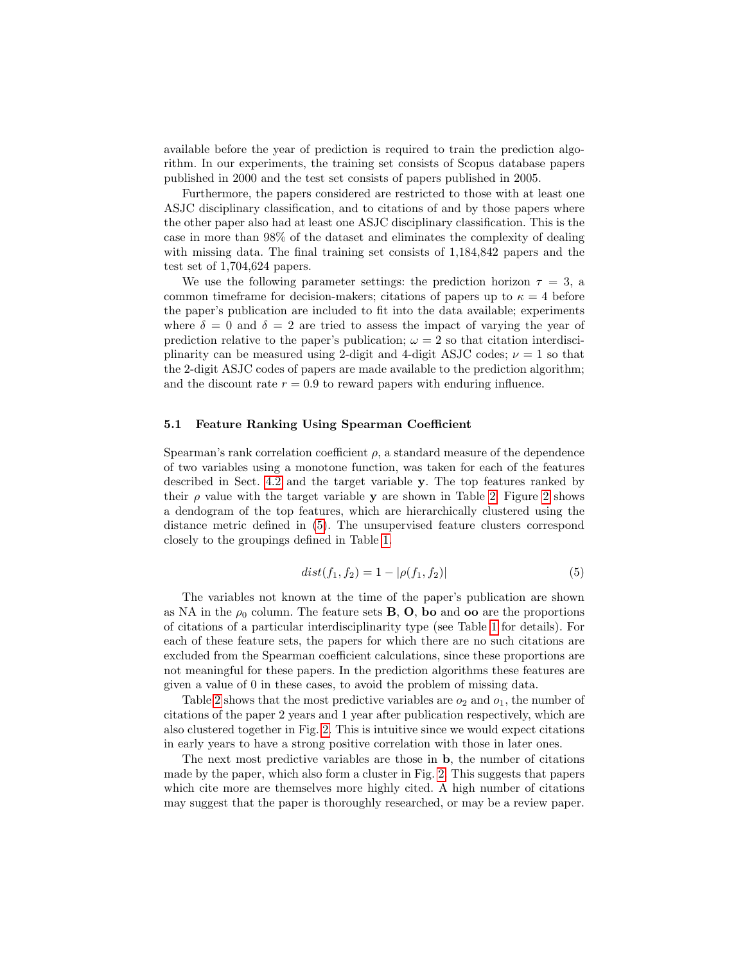available before the year of prediction is required to train the prediction algorithm. In our experiments, the training set consists of Scopus database papers published in 2000 and the test set consists of papers published in 2005.

Furthermore, the papers considered are restricted to those with at least one ASJC disciplinary classification, and to citations of and by those papers where the other paper also had at least one ASJC disciplinary classification. This is the case in more than 98% of the dataset and eliminates the complexity of dealing with missing data. The final training set consists of 1,184,842 papers and the test set of 1,704,624 papers.

We use the following parameter settings: the prediction horizon  $\tau = 3$ , a common timeframe for decision-makers; citations of papers up to  $\kappa = 4$  before the paper's publication are included to fit into the data available; experiments where  $\delta = 0$  and  $\delta = 2$  are tried to assess the impact of varying the year of prediction relative to the paper's publication;  $\omega = 2$  so that citation interdisciplinarity can be measured using 2-digit and 4-digit ASJC codes;  $\nu = 1$  so that the 2-digit ASJC codes of papers are made available to the prediction algorithm; and the discount rate  $r = 0.9$  to reward papers with enduring influence.

#### 5.1 Feature Ranking Using Spearman Coefficient

Spearman's rank correlation coefficient  $\rho$ , a standard measure of the dependence of two variables using a monotone function, was taken for each of the features described in Sect. [4.2](#page-4-3) and the target variable y. The top features ranked by their  $\rho$  value with the target variable y are shown in Table [2.](#page-7-0) Figure [2](#page-7-1) shows a dendogram of the top features, which are hierarchically clustered using the distance metric defined in [\(5\)](#page-6-0). The unsupervised feature clusters correspond closely to the groupings defined in Table [1.](#page-5-1)

<span id="page-6-0"></span>
$$
dist(f_1, f_2) = 1 - |\rho(f_1, f_2)| \tag{5}
$$

The variables not known at the time of the paper's publication are shown as NA in the  $\rho_0$  column. The feature sets **B**, **O**, bo and **oo** are the proportions of citations of a particular interdisciplinarity type (see Table [1](#page-5-1) for details). For each of these feature sets, the papers for which there are no such citations are excluded from the Spearman coefficient calculations, since these proportions are not meaningful for these papers. In the prediction algorithms these features are given a value of 0 in these cases, to avoid the problem of missing data.

Table [2](#page-7-0) shows that the most predictive variables are  $o_2$  and  $o_1$ , the number of citations of the paper 2 years and 1 year after publication respectively, which are also clustered together in Fig. [2.](#page-7-1) This is intuitive since we would expect citations in early years to have a strong positive correlation with those in later ones.

The next most predictive variables are those in b, the number of citations made by the paper, which also form a cluster in Fig. [2.](#page-7-1) This suggests that papers which cite more are themselves more highly cited. A high number of citations may suggest that the paper is thoroughly researched, or may be a review paper.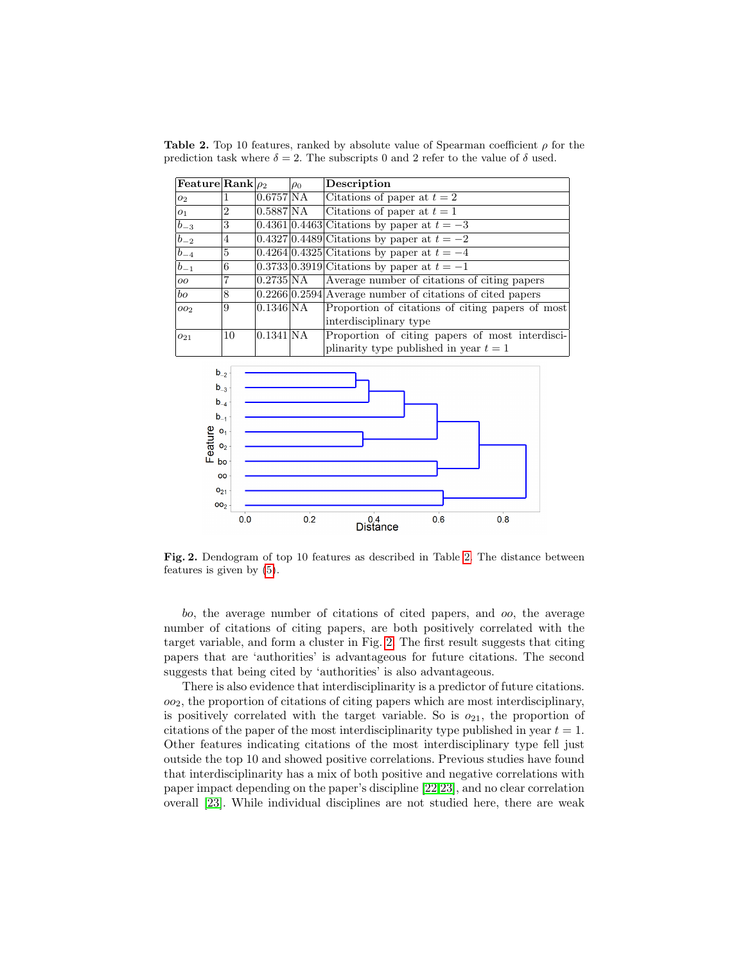<span id="page-7-0"></span>Table 2. Top 10 features, ranked by absolute value of Spearman coefficient  $\rho$  for the prediction task where  $\delta = 2$ . The subscripts 0 and 2 refer to the value of  $\delta$  used.

| Feature Rank $\rho_2$ |                |                               | $\rho_0$ | Description                                                      |
|-----------------------|----------------|-------------------------------|----------|------------------------------------------------------------------|
| 02                    |                | $0.6757\vert\mathrm{NA}\vert$ |          | Citations of paper at $t=2$                                      |
| O <sub>1</sub>        | $\overline{2}$ | 0.5887 NA                     |          | Citations of paper at $t=1$                                      |
| $b_{-3}$              | 3              |                               |          | 0.4361 0.4463 Citations by paper at $t = -3$                     |
| $ b_{-2} $            | 4              |                               |          | $\boxed{0.4327 0.4489 $ Citations by paper at $t=-2$             |
| $b_{-4}$              | 5              |                               |          | $0.4264[0.4325]$ Citations by paper at $t=-4$                    |
| $b_{-1}$              | 6              |                               |          | $[0.3733]$ 0.3919 Citations by paper at $t=-1$                   |
| OO                    | 7              | $0.2735$ NA                   |          | Average number of citations of citing papers                     |
| $b\overline{o}$       | 8              |                               |          | $[0.2266]$ $0.2594]$ Average number of citations of cited papers |
| 002                   | 9              | $0.1346$ NA                   |          | Proportion of citations of citing papers of most                 |
|                       |                |                               |          | interdisciplinary type                                           |
| $O_{21}$              | 10             | $0.1341$ NA                   |          | Proportion of citing papers of most interdisci-                  |
|                       |                |                               |          | plinarity type published in year $t=1$                           |



<span id="page-7-1"></span>Fig. 2. Dendogram of top 10 features as described in Table [2.](#page-7-0) The distance between features is given by [\(5\)](#page-6-0).

bo, the average number of citations of cited papers, and oo, the average number of citations of citing papers, are both positively correlated with the target variable, and form a cluster in Fig. [2.](#page-7-1) The first result suggests that citing papers that are 'authorities' is advantageous for future citations. The second suggests that being cited by 'authorities' is also advantageous.

There is also evidence that interdisciplinarity is a predictor of future citations.  $oo<sub>2</sub>$ , the proportion of citations of citing papers which are most interdisciplinary, is positively correlated with the target variable. So is  $o_{21}$ , the proportion of citations of the paper of the most interdisciplinarity type published in year  $t = 1$ . Other features indicating citations of the most interdisciplinary type fell just outside the top 10 and showed positive correlations. Previous studies have found that interdisciplinarity has a mix of both positive and negative correlations with paper impact depending on the paper's discipline [\[22](#page-11-10)[,23\]](#page-11-11), and no clear correlation overall [\[23\]](#page-11-11). While individual disciplines are not studied here, there are weak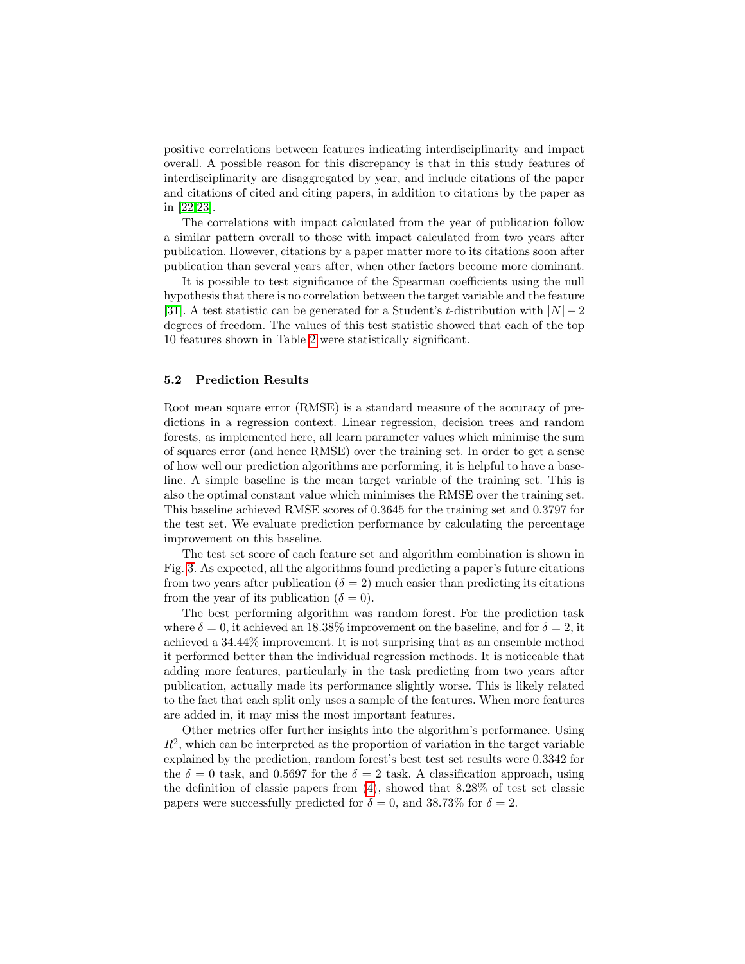positive correlations between features indicating interdisciplinarity and impact overall. A possible reason for this discrepancy is that in this study features of interdisciplinarity are disaggregated by year, and include citations of the paper and citations of cited and citing papers, in addition to citations by the paper as in [\[22,](#page-11-10)[23\]](#page-11-11).

The correlations with impact calculated from the year of publication follow a similar pattern overall to those with impact calculated from two years after publication. However, citations by a paper matter more to its citations soon after publication than several years after, when other factors become more dominant.

It is possible to test significance of the Spearman coefficients using the null hypothesis that there is no correlation between the target variable and the feature [\[31\]](#page-11-19). A test statistic can be generated for a Student's t-distribution with  $|N| - 2$ degrees of freedom. The values of this test statistic showed that each of the top 10 features shown in Table [2](#page-7-0) were statistically significant.

#### 5.2 Prediction Results

Root mean square error (RMSE) is a standard measure of the accuracy of predictions in a regression context. Linear regression, decision trees and random forests, as implemented here, all learn parameter values which minimise the sum of squares error (and hence RMSE) over the training set. In order to get a sense of how well our prediction algorithms are performing, it is helpful to have a baseline. A simple baseline is the mean target variable of the training set. This is also the optimal constant value which minimises the RMSE over the training set. This baseline achieved RMSE scores of 0.3645 for the training set and 0.3797 for the test set. We evaluate prediction performance by calculating the percentage improvement on this baseline.

The test set score of each feature set and algorithm combination is shown in Fig. [3.](#page-9-1) As expected, all the algorithms found predicting a paper's future citations from two years after publication ( $\delta = 2$ ) much easier than predicting its citations from the year of its publication  $(\delta = 0)$ .

The best performing algorithm was random forest. For the prediction task where  $\delta = 0$ , it achieved an 18.38% improvement on the baseline, and for  $\delta = 2$ , it achieved a 34.44% improvement. It is not surprising that as an ensemble method it performed better than the individual regression methods. It is noticeable that adding more features, particularly in the task predicting from two years after publication, actually made its performance slightly worse. This is likely related to the fact that each split only uses a sample of the features. When more features are added in, it may miss the most important features.

Other metrics offer further insights into the algorithm's performance. Using  $R<sup>2</sup>$ , which can be interpreted as the proportion of variation in the target variable explained by the prediction, random forest's best test set results were 0.3342 for the  $\delta = 0$  task, and 0.5697 for the  $\delta = 2$  task. A classification approach, using the definition of classic papers from [\(4\)](#page-4-2), showed that 8.28% of test set classic papers were successfully predicted for  $\delta = 0$ , and 38.73% for  $\delta = 2$ .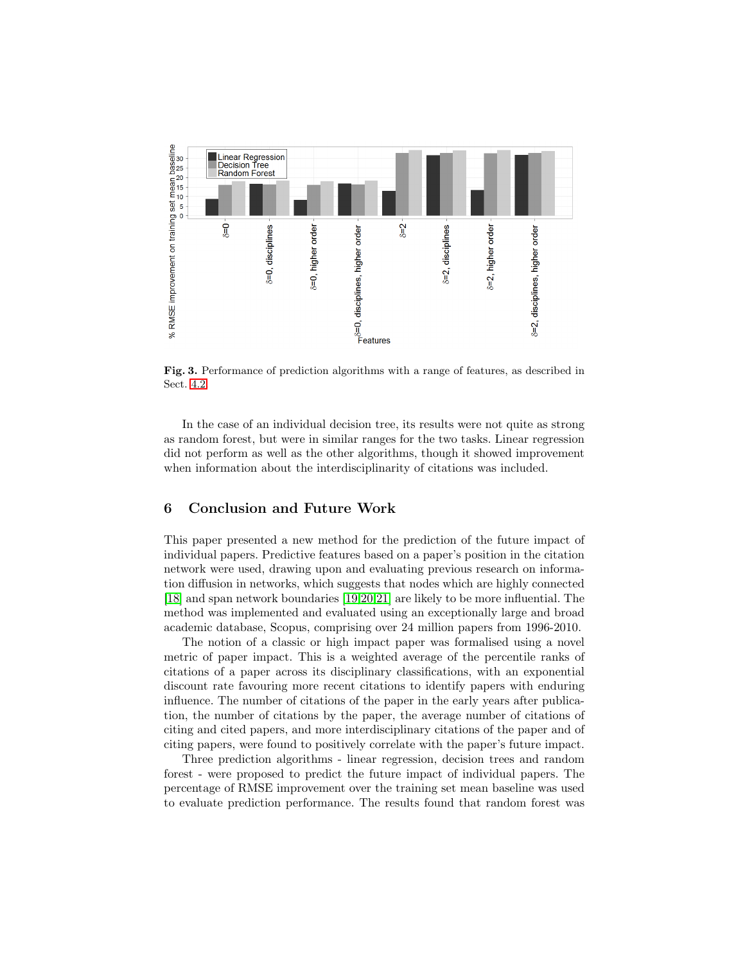

<span id="page-9-1"></span>Fig. 3. Performance of prediction algorithms with a range of features, as described in Sect. [4.2.](#page-4-3)

In the case of an individual decision tree, its results were not quite as strong as random forest, but were in similar ranges for the two tasks. Linear regression did not perform as well as the other algorithms, though it showed improvement when information about the interdisciplinarity of citations was included.

# <span id="page-9-0"></span>6 Conclusion and Future Work

This paper presented a new method for the prediction of the future impact of individual papers. Predictive features based on a paper's position in the citation network were used, drawing upon and evaluating previous research on information diffusion in networks, which suggests that nodes which are highly connected [\[18\]](#page-11-6) and span network boundaries [\[19,](#page-11-7)[20](#page-11-8)[,21\]](#page-11-9) are likely to be more influential. The method was implemented and evaluated using an exceptionally large and broad academic database, Scopus, comprising over 24 million papers from 1996-2010.

The notion of a classic or high impact paper was formalised using a novel metric of paper impact. This is a weighted average of the percentile ranks of citations of a paper across its disciplinary classifications, with an exponential discount rate favouring more recent citations to identify papers with enduring influence. The number of citations of the paper in the early years after publication, the number of citations by the paper, the average number of citations of citing and cited papers, and more interdisciplinary citations of the paper and of citing papers, were found to positively correlate with the paper's future impact.

Three prediction algorithms - linear regression, decision trees and random forest - were proposed to predict the future impact of individual papers. The percentage of RMSE improvement over the training set mean baseline was used to evaluate prediction performance. The results found that random forest was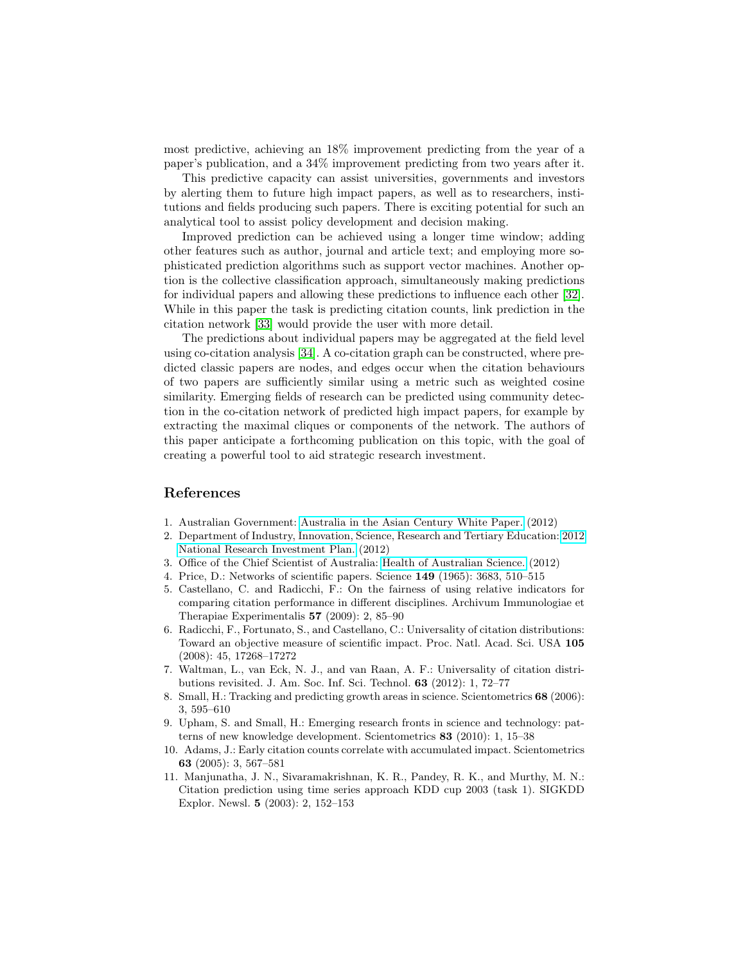most predictive, achieving an 18% improvement predicting from the year of a paper's publication, and a 34% improvement predicting from two years after it.

This predictive capacity can assist universities, governments and investors by alerting them to future high impact papers, as well as to researchers, institutions and fields producing such papers. There is exciting potential for such an analytical tool to assist policy development and decision making.

Improved prediction can be achieved using a longer time window; adding other features such as author, journal and article text; and employing more sophisticated prediction algorithms such as support vector machines. Another option is the collective classification approach, simultaneously making predictions for individual papers and allowing these predictions to influence each other [\[32\]](#page-11-20). While in this paper the task is predicting citation counts, link prediction in the citation network [\[33\]](#page-11-21) would provide the user with more detail.

The predictions about individual papers may be aggregated at the field level using co-citation analysis [\[34\]](#page-11-22). A co-citation graph can be constructed, where predicted classic papers are nodes, and edges occur when the citation behaviours of two papers are sufficiently similar using a metric such as weighted cosine similarity. Emerging fields of research can be predicted using community detection in the co-citation network of predicted high impact papers, for example by extracting the maximal cliques or components of the network. The authors of this paper anticipate a forthcoming publication on this topic, with the goal of creating a powerful tool to aid strategic research investment.

## References

- <span id="page-10-0"></span>1. Australian Government: [Australia in the Asian Century White Paper.](http://asiancentury.dpmc.gov.au/sites/default/files/white-paper/australia-in-the-asian-century-white-paper.pdf) (2012)
- <span id="page-10-1"></span>2. Department of Industry, Innovation, Science, Research and Tertiary Education: [2012](http://www.innovation.gov.au/Research/Documents/NationalResearchInvestmentPlan.pdf) [National Research Investment Plan.](http://www.innovation.gov.au/Research/Documents/NationalResearchInvestmentPlan.pdf) (2012)
- <span id="page-10-2"></span>3. Office of the Chief Scientist of Australia: [Health of Australian Science.](http://www.chiefscientist.gov.au/wp-content/uploads/HASReport_Web-Update_200912.pdf) (2012)
- <span id="page-10-3"></span>4. Price, D.: Networks of scientific papers. Science 149 (1965): 3683, 510–515
- <span id="page-10-4"></span>5. Castellano, C. and Radicchi, F.: On the fairness of using relative indicators for comparing citation performance in different disciplines. Archivum Immunologiae et Therapiae Experimentalis 57 (2009): 2, 85–90
- <span id="page-10-5"></span>6. Radicchi, F., Fortunato, S., and Castellano, C.: Universality of citation distributions: Toward an objective measure of scientific impact. Proc. Natl. Acad. Sci. USA 105 (2008): 45, 17268–17272
- <span id="page-10-6"></span>7. Waltman, L., van Eck, N. J., and van Raan, A. F.: Universality of citation distributions revisited. J. Am. Soc. Inf. Sci. Technol. 63 (2012): 1, 72–77
- <span id="page-10-7"></span>8. Small, H.: Tracking and predicting growth areas in science. Scientometrics 68 (2006): 3, 595–610
- <span id="page-10-8"></span>9. Upham, S. and Small, H.: Emerging research fronts in science and technology: patterns of new knowledge development. Scientometrics 83 (2010): 1, 15–38
- <span id="page-10-9"></span>10. Adams, J.: Early citation counts correlate with accumulated impact. Scientometrics 63 (2005): 3, 567–581
- <span id="page-10-10"></span>11. Manjunatha, J. N., Sivaramakrishnan, K. R., Pandey, R. K., and Murthy, M. N.: Citation prediction using time series approach KDD cup 2003 (task 1). SIGKDD Explor. Newsl. 5 (2003): 2, 152–153